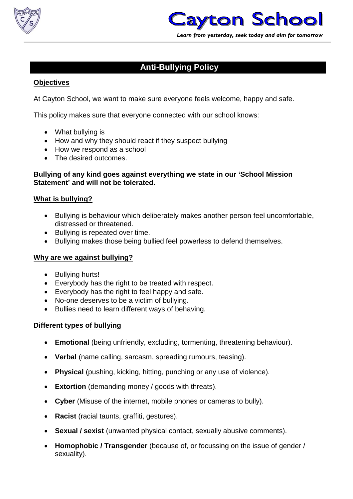



# **Anti-Bullying Policy**

# **Objectives**

At Cayton School, we want to make sure everyone feels welcome, happy and safe.

This policy makes sure that everyone connected with our school knows:

- What bullying is
- How and why they should react if they suspect bullying
- How we respond as a school
- The desired outcomes.

#### **Bullying of any kind goes against everything we state in our 'School Mission Statement' and will not be tolerated.**

# **What is bullying?**

- Bullying is behaviour which deliberately makes another person feel uncomfortable, distressed or threatened.
- Bullying is repeated over time.
- Bullying makes those being bullied feel powerless to defend themselves.

# **Why are we against bullying?**

- Bullying hurts!
- Everybody has the right to be treated with respect.
- Everybody has the right to feel happy and safe.
- No-one deserves to be a victim of bullying.
- Bullies need to learn different ways of behaving.

# **Different types of bullying**

- **Emotional** (being unfriendly, excluding, tormenting, threatening behaviour).
- **Verbal** (name calling, sarcasm, spreading rumours, teasing).
- **Physical** (pushing, kicking, hitting, punching or any use of violence).
- **Extortion** (demanding money / goods with threats).
- **Cyber** (Misuse of the internet, mobile phones or cameras to bully).
- **Racist** (racial taunts, graffiti, gestures).
- **Sexual / sexist** (unwanted physical contact, sexually abusive comments).
- **Homophobic / Transgender** (because of, or focussing on the issue of gender / sexuality).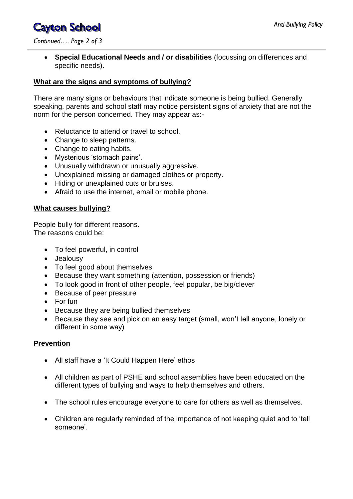# **Cayton School**

*Continued…. Page 2 of 3*

 **Special Educational Needs and / or disabilities** (focussing on differences and specific needs).

# **What are the signs and symptoms of bullying?**

There are many signs or behaviours that indicate someone is being bullied. Generally speaking, parents and school staff may notice persistent signs of anxiety that are not the norm for the person concerned. They may appear as:-

- Reluctance to attend or travel to school.
- Change to sleep patterns.
- Change to eating habits.
- Mysterious 'stomach pains'.
- Unusually withdrawn or unusually aggressive.
- Unexplained missing or damaged clothes or property.
- Hiding or unexplained cuts or bruises.
- Afraid to use the internet, email or mobile phone.

# **What causes bullying?**

People bully for different reasons. The reasons could be:

- To feel powerful, in control
- Jealousy
- To feel good about themselves
- Because they want something (attention, possession or friends)
- To look good in front of other people, feel popular, be big/clever
- Because of peer pressure
- For fun
- Because they are being bullied themselves
- Because they see and pick on an easy target (small, won't tell anyone, lonely or different in some way)

# **Prevention**

- All staff have a 'It Could Happen Here' ethos
- All children as part of PSHE and school assemblies have been educated on the different types of bullying and ways to help themselves and others.
- The school rules encourage everyone to care for others as well as themselves.
- Children are regularly reminded of the importance of not keeping quiet and to 'tell someone'.